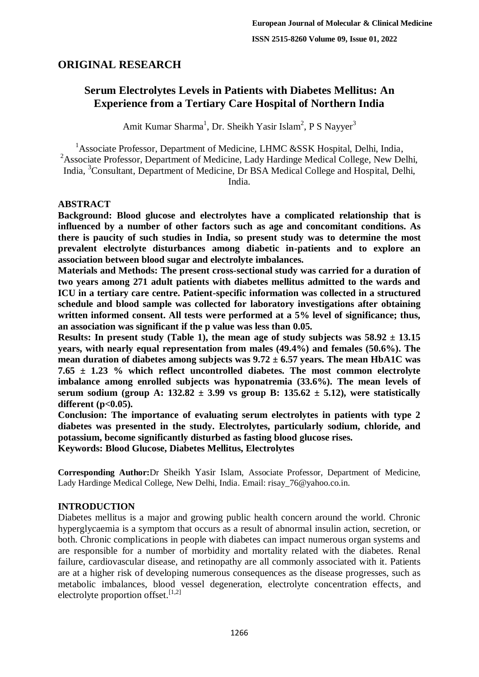# **ORIGINAL RESEARCH**

# **Serum Electrolytes Levels in Patients with Diabetes Mellitus: An Experience from a Tertiary Care Hospital of Northern India**

Amit Kumar Sharma<sup>1</sup>, Dr. Sheikh Yasir Islam<sup>2</sup>, P S Nayyer<sup>3</sup>

<sup>1</sup> Associate Professor, Department of Medicine, LHMC &SSK Hospital, Delhi, India, <sup>2</sup>Associate Professor, Department of Medicine, Lady Hardinge Medical College, New Delhi, India, <sup>3</sup>Consultant, Department of Medicine, Dr BSA Medical College and Hospital, Delhi, India.

# **ABSTRACT**

**Background: Blood glucose and electrolytes have a complicated relationship that is influenced by a number of other factors such as age and concomitant conditions. As there is paucity of such studies in India, so present study was to determine the most prevalent electrolyte disturbances among diabetic in-patients and to explore an association between blood sugar and electrolyte imbalances.**

**Materials and Methods: The present cross-sectional study was carried for a duration of two years among 271 adult patients with diabetes mellitus admitted to the wards and ICU in a tertiary care centre. Patient-specific information was collected in a structured schedule and blood sample was collected for laboratory investigations after obtaining written informed consent. All tests were performed at a 5% level of significance; thus, an association was significant if the p value was less than 0.05.**

**Results:** In present study (Table 1), the mean age of study subjects was  $58.92 \pm 13.15$ **years, with nearly equal representation from males (49.4%) and females (50.6%). The mean duration of diabetes among subjects was 9.72 ± 6.57 years. The mean HbA1C was 7.65 ± 1.23 % which reflect uncontrolled diabetes. The most common electrolyte imbalance among enrolled subjects was hyponatremia (33.6%). The mean levels of serum sodium (group A: 132.82 ± 3.99 vs group B: 135.62 ± 5.12), were statistically different (p<0.05).**

**Conclusion: The importance of evaluating serum electrolytes in patients with type 2 diabetes was presented in the study. Electrolytes, particularly sodium, chloride, and potassium, become significantly disturbed as fasting blood glucose rises. Keywords: Blood Glucose, Diabetes Mellitus, Electrolytes**

**Corresponding Author:**Dr Sheikh Yasir Islam, Associate Professor, Department of Medicine, Lady Hardinge Medical College, New Delhi, India. Email: risay\_76@yahoo.co.in.

# **INTRODUCTION**

Diabetes mellitus is a major and growing public health concern around the world. Chronic hyperglycaemia is a symptom that occurs as a result of abnormal insulin action, secretion, or both. Chronic complications in people with diabetes can impact numerous organ systems and are responsible for a number of morbidity and mortality related with the diabetes. Renal failure, cardiovascular disease, and retinopathy are all commonly associated with it. Patients are at a higher risk of developing numerous consequences as the disease progresses, such as metabolic imbalances, blood vessel degeneration, electrolyte concentration effects, and electrolyte proportion offset.  $[1,2]$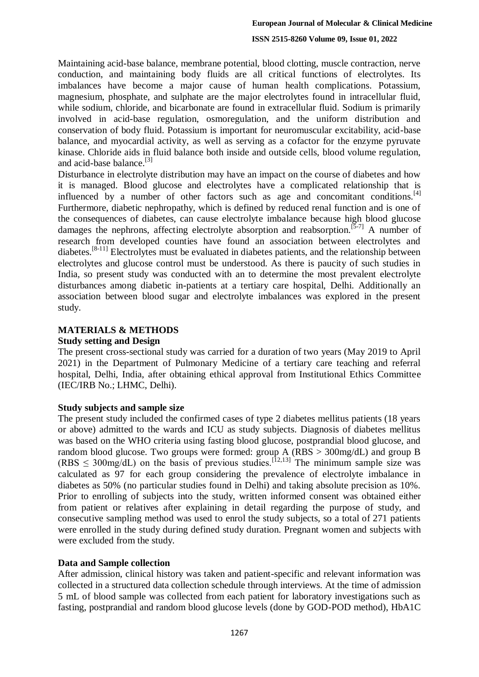Maintaining acid-base balance, membrane potential, blood clotting, muscle contraction, nerve conduction, and maintaining body fluids are all critical functions of electrolytes. Its imbalances have become a major cause of human health complications. Potassium, magnesium, phosphate, and sulphate are the major electrolytes found in intracellular fluid, while sodium, chloride, and bicarbonate are found in extracellular fluid. Sodium is primarily involved in acid-base regulation, osmoregulation, and the uniform distribution and conservation of body fluid. Potassium is important for neuromuscular excitability, acid-base balance, and myocardial activity, as well as serving as a cofactor for the enzyme pyruvate kinase. Chloride aids in fluid balance both inside and outside cells, blood volume regulation, and acid-base balance. $^{[3]}$ 

Disturbance in electrolyte distribution may have an impact on the course of diabetes and how it is managed. Blood glucose and electrolytes have a complicated relationship that is influenced by a number of other factors such as age and concomitant conditions.<sup>[4]</sup> Furthermore, diabetic nephropathy, which is defined by reduced renal function and is one of the consequences of diabetes, can cause electrolyte imbalance because high blood glucose damages the nephrons, affecting electrolyte absorption and reabsorption.<sup>[5-7]</sup> A number of research from developed counties have found an association between electrolytes and diabetes.<sup>[8-11]</sup> Electrolytes must be evaluated in diabetes patients, and the relationship between electrolytes and glucose control must be understood. As there is paucity of such studies in India, so present study was conducted with an to determine the most prevalent electrolyte disturbances among diabetic in-patients at a tertiary care hospital, Delhi. Additionally an association between blood sugar and electrolyte imbalances was explored in the present study.

## **MATERIALS & METHODS**

#### **Study setting and Design**

The present cross-sectional study was carried for a duration of two years (May 2019 to April 2021) in the Department of Pulmonary Medicine of a tertiary care teaching and referral hospital, Delhi, India, after obtaining ethical approval from Institutional Ethics Committee (IEC/IRB No.; LHMC, Delhi).

## **Study subjects and sample size**

The present study included the confirmed cases of type 2 diabetes mellitus patients (18 years or above) admitted to the wards and ICU as study subjects. Diagnosis of diabetes mellitus was based on the WHO criteria using fasting blood glucose, postprandial blood glucose, and random blood glucose. Two groups were formed: group A (RBS > 300mg/dL) and group B  $(RBS \leq 300 \text{mg/dL})$  on the basis of previous studies.<sup>[12,13]</sup> The minimum sample size was calculated as 97 for each group considering the prevalence of electrolyte imbalance in diabetes as 50% (no particular studies found in Delhi) and taking absolute precision as 10%. Prior to enrolling of subjects into the study, written informed consent was obtained either from patient or relatives after explaining in detail regarding the purpose of study, and consecutive sampling method was used to enrol the study subjects, so a total of 271 patients were enrolled in the study during defined study duration. Pregnant women and subjects with were excluded from the study.

## **Data and Sample collection**

After admission, clinical history was taken and patient-specific and relevant information was collected in a structured data collection schedule through interviews. At the time of admission 5 mL of blood sample was collected from each patient for laboratory investigations such as fasting, postprandial and random blood glucose levels (done by GOD-POD method), HbA1C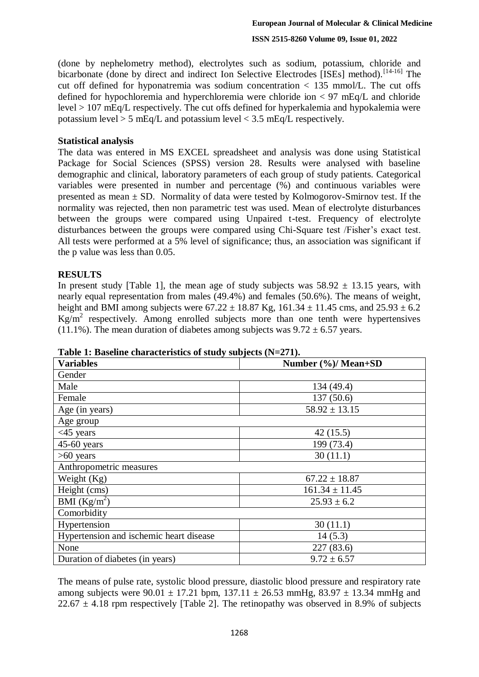(done by nephelometry method), electrolytes such as sodium, potassium, chloride and bicarbonate (done by direct and indirect Ion Selective Electrodes [ISEs] method).<sup>[14-16]</sup> The cut off defined for hyponatremia was sodium concentration  $\langle 135 \text{ mmol/L}$ . The cut offs defined for hypochloremia and hyperchloremia were chloride ion < 97 mEq/L and chloride level > 107 mEq/L respectively. The cut offs defined for hyperkalemia and hypokalemia were potassium level  $> 5$  mEq/L and potassium level  $< 3.5$  mEq/L respectively.

### **Statistical analysis**

The data was entered in MS EXCEL spreadsheet and analysis was done using Statistical Package for Social Sciences (SPSS) version 28. Results were analysed with baseline demographic and clinical, laboratory parameters of each group of study patients. Categorical variables were presented in number and percentage (%) and continuous variables were presented as mean  $\pm$  SD. Normality of data were tested by Kolmogorov-Smirnov test. If the normality was rejected, then non parametric test was used. Mean of electrolyte disturbances between the groups were compared using Unpaired t-test. Frequency of electrolyte disturbances between the groups were compared using Chi-Square test /Fisher's exact test. All tests were performed at a 5% level of significance; thus, an association was significant if the p value was less than 0.05.

### **RESULTS**

In present study [Table 1], the mean age of study subjects was  $58.92 \pm 13.15$  years, with nearly equal representation from males (49.4%) and females (50.6%). The means of weight, height and BMI among subjects were  $67.22 \pm 18.87$  Kg,  $161.34 \pm 11.45$  cms, and  $25.93 \pm 6.2$  $Kg/m^2$  respectively. Among enrolled subjects more than one tenth were hypertensives (11.1%). The mean duration of diabetes among subjects was  $9.72 \pm 6.57$  years.

| <b>Variables</b>                        | v<br>Number (%)/ Mean+SD |
|-----------------------------------------|--------------------------|
| Gender                                  |                          |
| Male                                    | 134 (49.4)               |
| Female                                  | 137(50.6)                |
| Age (in years)                          | $58.92 \pm 13.15$        |
| Age group                               |                          |
| $<$ 45 years                            | 42(15.5)                 |
| $45-60$ years                           | 199 (73.4)               |
| $>60$ years                             | 30(11.1)                 |
| Anthropometric measures                 |                          |
| Weight (Kg)                             | $67.22 \pm 18.87$        |
| Height (cms)                            | $161.34 \pm 11.45$       |
| BMI $(Kg/m^2)$                          | $25.93 \pm 6.2$          |
| Comorbidity                             |                          |
| Hypertension                            | 30(11.1)                 |
| Hypertension and ischemic heart disease | 14(5.3)                  |
| None                                    | 227 (83.6)               |
| Duration of diabetes (in years)         | $9.72 \pm 6.57$          |

**Table 1: Baseline characteristics of study subjects (N=271).** 

The means of pulse rate, systolic blood pressure, diastolic blood pressure and respiratory rate among subjects were 90.01  $\pm$  17.21 bpm, 137.11  $\pm$  26.53 mmHg, 83.97  $\pm$  13.34 mmHg and  $22.67 \pm 4.18$  rpm respectively [Table 2]. The retinopathy was observed in 8.9% of subjects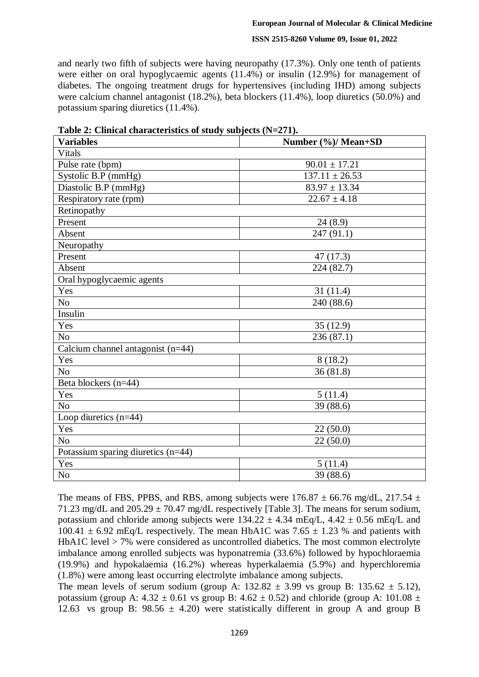and nearly two fifth of subjects were having neuropathy (17.3%). Only one tenth of patients were either on oral hypoglycaemic agents (11.4%) or insulin (12.9%) for management of diabetes. The ongoing treatment drugs for hypertensives (including IHD) among subjects were calcium channel antagonist (18.2%), beta blockers (11.4%), loop diuretics (50.0%) and potassium sparing diuretics (11.4%).

| <b>Variables</b>                    | Number (%)/ Mean+SD |
|-------------------------------------|---------------------|
| Vitals                              |                     |
| Pulse rate (bpm)                    | $90.01 \pm 17.21$   |
| Systolic B.P (mmHg)                 | $137.11 \pm 26.53$  |
| Diastolic B.P (mmHg)                | $83.97 \pm 13.34$   |
| Respiratory rate (rpm)              | $22.67 \pm 4.18$    |
| Retinopathy                         |                     |
| Present                             | 24(8.9)             |
| Absent                              | 247(91.1)           |
| Neuropathy                          |                     |
| Present                             | 47(17.3)            |
| Absent                              | 224 (82.7)          |
| Oral hypoglycaemic agents           |                     |
| Yes                                 | 31(11.4)            |
| N <sub>o</sub>                      | 240 (88.6)          |
| Insulin                             |                     |
| Yes                                 | 35(12.9)            |
| N <sub>o</sub>                      | 236(87.1)           |
| Calcium channel antagonist $(n=44)$ |                     |
| Yes                                 | 8(18.2)             |
| N <sub>o</sub>                      | 36(81.8)            |
| Beta blockers (n=44)                |                     |
| Yes                                 | 5(11.4)             |
| N <sub>o</sub>                      | 39 (88.6)           |
| Loop diuretics $(n=44)$             |                     |
| Yes                                 | 22(50.0)            |
| N <sub>o</sub>                      | 22(50.0)            |
| Potassium sparing diuretics (n=44)  |                     |
| Yes                                 | 5(11.4)             |
| No                                  | 39 (88.6)           |

**Table 2: Clinical characteristics of study subjects (N=271).**

The means of FBS, PPBS, and RBS, among subjects were  $176.87 \pm 66.76$  mg/dL,  $217.54 \pm 12.6$ 71.23 mg/dL and  $205.29 \pm 70.47$  mg/dL respectively [Table 3]. The means for serum sodium, potassium and chloride among subjects were  $134.22 \pm 4.34$  mEq/L,  $4.42 \pm 0.56$  mEq/L and  $100.41 \pm 6.92$  mEq/L respectively. The mean HbA1C was 7.65  $\pm$  1.23 % and patients with HbA1C level > 7% were considered as uncontrolled diabetics. The most common electrolyte imbalance among enrolled subjects was hyponatremia (33.6%) followed by hypochloraemia (19.9%) and hypokalaemia (16.2%) whereas hyperkalaemia (5.9%) and hyperchloremia (1.8%) were among least occurring electrolyte imbalance among subjects.

The mean levels of serum sodium (group A:  $132.82 \pm 3.99$  vs group B:  $135.62 \pm 5.12$ ), potassium (group A:  $4.32 \pm 0.61$  vs group B:  $4.62 \pm 0.52$ ) and chloride (group A:  $101.08 \pm 0.52$ ) 12.63 vs group B:  $98.56 \pm 4.20$ ) were statistically different in group A and group B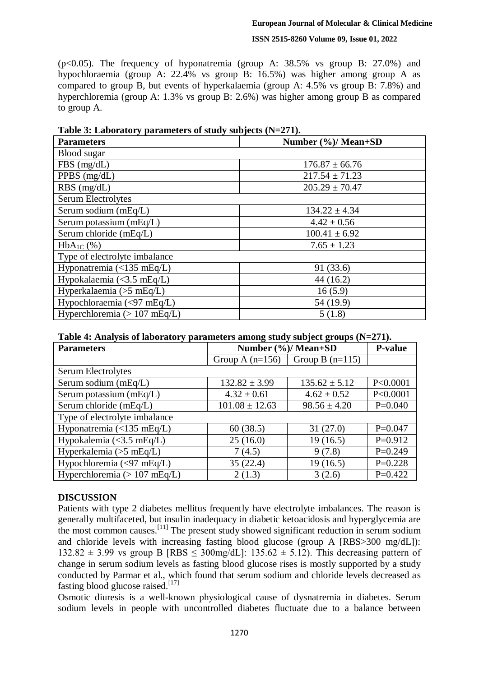(p<0.05). The frequency of hyponatremia (group A: 38.5% vs group B: 27.0%) and hypochloraemia (group A: 22.4% vs group B: 16.5%) was higher among group A as compared to group B, but events of hyperkalaemia (group A: 4.5% vs group B: 7.8%) and hyperchloremia (group A: 1.3% vs group B: 2.6%) was higher among group B as compared to group A.

| <b>Parameters</b>                  | Number (%)/ Mean+SD |
|------------------------------------|---------------------|
| Blood sugar                        |                     |
| FBS(mg/dL)                         | $176.87 \pm 66.76$  |
| PPBS (mg/dL)                       | $217.54 \pm 71.23$  |
| $RBS$ (mg/dL)                      | $205.29 \pm 70.47$  |
| <b>Serum Electrolytes</b>          |                     |
| Serum sodium (mEq/L)               | $134.22 \pm 4.34$   |
| Serum potassium $(mEq/L)$          | $4.42 \pm 0.56$     |
| Serum chloride (mEq/L)             | $100.41 \pm 6.92$   |
| $HbA_{1C}$ (%)                     | $7.65 \pm 1.23$     |
| Type of electrolyte imbalance      |                     |
| Hyponatremia (<135 mEq/L)          | 91 (33.6)           |
| Hypokalaemia $\langle$ <3.5 mEq/L) | 44(16.2)            |
| Hyperkalaemia ( $>5$ mEq/L)        | 16(5.9)             |
| Hypochloraemia $(<$ 97 mEq/L)      | 54 (19.9)           |
| Hyperchloremia ( $> 107$ mEq/L)    | 5(1.8)              |

**Table 3: Laboratory parameters of study subjects (N=271).**

|  |  | Table 4: Analysis of laboratory parameters among study subject groups (N=271). |
|--|--|--------------------------------------------------------------------------------|
|  |  |                                                                                |

| <b>Parameters</b>                                     | Number (%)/ Mean+SD | <b>P-value</b>    |            |
|-------------------------------------------------------|---------------------|-------------------|------------|
|                                                       | Group A $(n=156)$   | Group B $(n=115)$ |            |
| Serum Electrolytes                                    |                     |                   |            |
| Serum sodium (mEq/L)                                  | $132.82 \pm 3.99$   | $135.62 \pm 5.12$ | P < 0.0001 |
| Serum potassium $(mEq/L)$                             | $4.32 \pm 0.61$     | $4.62 \pm 0.52$   | P < 0.0001 |
| Serum chloride (mEq/L)                                | $101.08 \pm 12.63$  | $98.56 \pm 4.20$  | $P=0.040$  |
| Type of electrolyte imbalance                         |                     |                   |            |
| Hyponatremia $\left(\langle 135 \text{ mEq/L}\right)$ | 60(38.5)            | 31(27.0)          | $P=0.047$  |
| Hypokalemia (< $3.5$ mEq/L)                           | 25(16.0)            | 19(16.5)          | $P=0.912$  |
| Hyperkalemia ( $>5$ mEq/L)                            | 7(4.5)              | 9(7.8)            | $P=0.249$  |
| Hypochloremia (<97 mEq/L)                             | 35(22.4)            | 19(16.5)          | $P=0.228$  |
| Hyperchloremia ( $> 107$ mEq/L)                       | 2(1.3)              | 3(2.6)            | $P=0.422$  |

# **DISCUSSION**

Patients with type 2 diabetes mellitus frequently have electrolyte imbalances. The reason is generally multifaceted, but insulin inadequacy in diabetic ketoacidosis and hyperglycemia are the most common causes.<sup>[11]</sup> The present study showed significant reduction in serum sodium and chloride levels with increasing fasting blood glucose (group A [RBS>300 mg/dL]):  $132.82 \pm 3.99$  vs group B [RBS < 300mg/dL]:  $135.62 \pm 5.12$ ). This decreasing pattern of change in serum sodium levels as fasting blood glucose rises is mostly supported by a study conducted by Parmar et al., which found that serum sodium and chloride levels decreased as fasting blood glucose raised.<sup>[17]</sup>

Osmotic diuresis is a well-known physiological cause of dysnatremia in diabetes. Serum sodium levels in people with uncontrolled diabetes fluctuate due to a balance between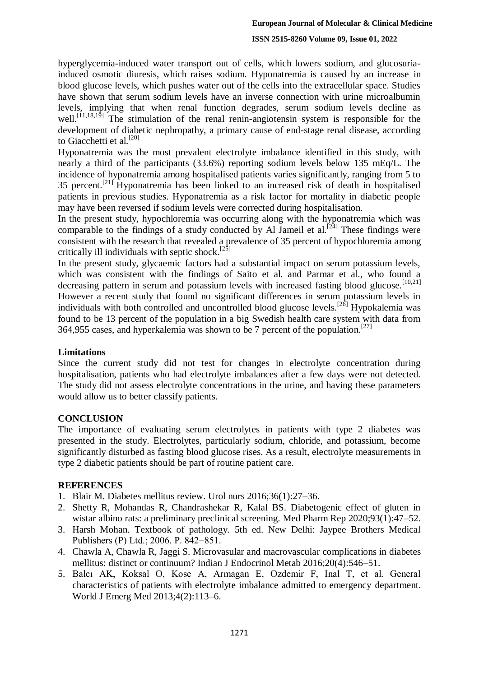hyperglycemia-induced water transport out of cells, which lowers sodium, and glucosuriainduced osmotic diuresis, which raises sodium. Hyponatremia is caused by an increase in blood glucose levels, which pushes water out of the cells into the extracellular space. Studies have shown that serum sodium levels have an inverse connection with urine microalbumin levels, implying that when renal function degrades, serum sodium levels decline as well.<sup>[11,18,19]</sup> The stimulation of the renal renin-angiotensin system is responsible for the development of diabetic nephropathy, a primary cause of end-stage renal disease, according to Giacchetti et al.<sup>[20]</sup>

Hyponatremia was the most prevalent electrolyte imbalance identified in this study, with nearly a third of the participants (33.6%) reporting sodium levels below 135 mEq/L. The incidence of hyponatremia among hospitalised patients varies significantly, ranging from 5 to 35 percent.[21] Hyponatremia has been linked to an increased risk of death in hospitalised patients in previous studies. Hyponatremia as a risk factor for mortality in diabetic people may have been reversed if sodium levels were corrected during hospitalisation.

In the present study, hypochloremia was occurring along with the hyponatremia which was comparable to the findings of a study conducted by Al Jameil et al.<sup>[24]</sup> These findings were consistent with the research that revealed a prevalence of 35 percent of hypochloremia among critically ill individuals with septic shock.<sup>[25]</sup>

In the present study, glycaemic factors had a substantial impact on serum potassium levels, which was consistent with the findings of Saito et al. and Parmar et al., who found a decreasing pattern in serum and potassium levels with increased fasting blood glucose.<sup>[10,21]</sup> However a recent study that found no significant differences in serum potassium levels in individuals with both controlled and uncontrolled blood glucose levels.<sup>[26]</sup> Hypokalemia was found to be 13 percent of the population in a big Swedish health care system with data from 364,955 cases, and hyperkalemia was shown to be 7 percent of the population.<sup>[27]</sup>

#### **Limitations**

Since the current study did not test for changes in electrolyte concentration during hospitalisation, patients who had electrolyte imbalances after a few days were not detected. The study did not assess electrolyte concentrations in the urine, and having these parameters would allow us to better classify patients.

## **CONCLUSION**

The importance of evaluating serum electrolytes in patients with type 2 diabetes was presented in the study. Electrolytes, particularly sodium, chloride, and potassium, become significantly disturbed as fasting blood glucose rises. As a result, electrolyte measurements in type 2 diabetic patients should be part of routine patient care.

## **REFERENCES**

- 1. Blair M. Diabetes mellitus review. Urol nurs 2016;36(1):27–36.
- 2. Shetty R, Mohandas R, Chandrashekar R, Kalal BS. Diabetogenic effect of gluten in wistar albino rats: a preliminary preclinical screening. Med Pharm Rep 2020;93(1):47–52.
- 3. Harsh Mohan. Textbook of pathology. 5th ed. New Delhi: Jaypee Brothers Medical Publishers (P) Ltd.; 2006. Р. 842−851.
- 4. Chawla A, Chawla R, Jaggi S. Microvasular and macrovascular complications in diabetes mellitus: distinct or continuum? Indian J Endocrinol Metab 2016;20(4):546–51.
- 5. Balcı AK, Koksal O, Kose A, Armagan E, Ozdemir F, Inal T, et al. General characteristics of patients with electrolyte imbalance admitted to emergency department. World J Emerg Med 2013;4(2):113–6.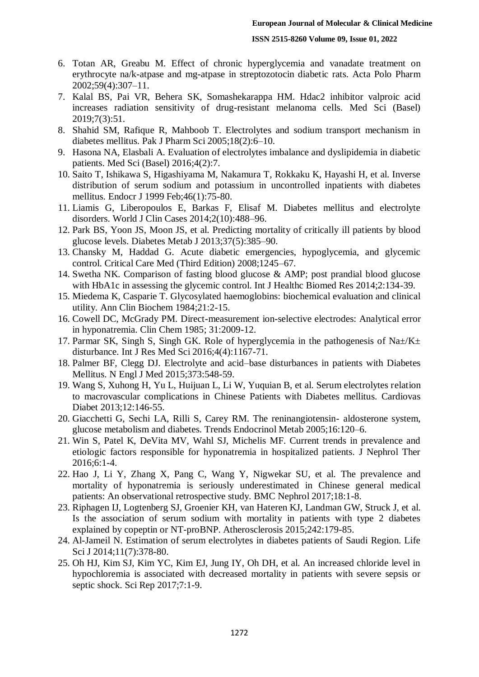- 6. Totan AR, Greabu M. Effect of chronic hyperglycemia and vanadate treatment on erythrocyte na/k-atpase and mg-atpase in streptozotocin diabetic rats. Acta Polo Pharm 2002;59(4):307–11.
- 7. Kalal BS, Pai VR, Behera SK, Somashekarappa HM. Hdac2 inhibitor valproic acid increases radiation sensitivity of drug-resistant melanoma cells. Med Sci (Basel) 2019;7(3):51.
- 8. Shahid SM, Rafique R, Mahboob T. Electrolytes and sodium transport mechanism in diabetes mellitus. Pak J Pharm Sci 2005;18(2):6–10.
- 9. Hasona NA, Elasbali A. Evaluation of electrolytes imbalance and dyslipidemia in diabetic patients. Med Sci (Basel) 2016;4(2):7.
- 10. Saito T, Ishikawa S, Higashiyama M, Nakamura T, Rokkaku K, Hayashi H, et al. Inverse distribution of serum sodium and potassium in uncontrolled inpatients with diabetes mellitus. Endocr J 1999 Feb;46(1):75-80.
- 11. Liamis G, Liberopoulos E, Barkas F, Elisaf M. Diabetes mellitus and electrolyte disorders. World J Clin Cases 2014;2(10):488–96.
- 12. Park BS, Yoon JS, Moon JS, et al. Predicting mortality of critically ill patients by blood glucose levels. Diabetes Metab J 2013;37(5):385–90.
- 13. Chansky M, Haddad G. Acute diabetic emergencies, hypoglycemia, and glycemic control. Critical Care Med (Third Edition) 2008;1245–67.
- 14. Swetha NK. Comparison of fasting blood glucose & AMP; post prandial blood glucose with HbA1c in assessing the glycemic control. Int J Healthc Biomed Res 2014;2:134-39.
- 15. Miedema K, Casparie T. Glycosylated haemoglobins: biochemical evaluation and clinical utility. Ann Clin Biochem 1984;21:2-15.
- 16. Cowell DC, McGrady PM. Direct-measurement ion-selective electrodes: Analytical error in hyponatremia. Clin Chem 1985; 31:2009-12.
- 17. Parmar SK, Singh S, Singh GK. Role of hyperglycemia in the pathogenesis of Na $\pm$ /K $\pm$ disturbance. Int J Res Med Sci 2016;4(4):1167-71.
- 18. Palmer BF, Clegg DJ. Electrolyte and acid–base disturbances in patients with Diabetes Mellitus. N Engl J Med 2015;373:548-59.
- 19. Wang S, Xuhong H, Yu L, Huijuan L, Li W, Yuquian B, et al. Serum electrolytes relation to macrovascular complications in Chinese Patients with Diabetes mellitus. Cardiovas Diabet 2013;12:146-55.
- 20. Giacchetti G, Sechi LA, Rilli S, Carey RM. The reninangiotensin- aldosterone system, glucose metabolism and diabetes. Trends Endocrinol Metab 2005;16:120–6.
- 21. Win S, Patel K, DeVita MV, Wahl SJ, Michelis MF. Current trends in prevalence and etiologic factors responsible for hyponatremia in hospitalized patients. J Nephrol Ther 2016;6:1-4.
- 22. Hao J, Li Y, Zhang X, Pang C, Wang Y, Nigwekar SU, et al. The prevalence and mortality of hyponatremia is seriously underestimated in Chinese general medical patients: An observational retrospective study. BMC Nephrol 2017;18:1-8.
- 23. Riphagen IJ, Logtenberg SJ, Groenier KH, van Hateren KJ, Landman GW, Struck J, et al. Is the association of serum sodium with mortality in patients with type 2 diabetes explained by copeptin or NT-proBNP. Atherosclerosis 2015;242:179-85.
- 24. Al-Jameil N. Estimation of serum electrolytes in diabetes patients of Saudi Region. Life Sci J 2014;11(7):378-80.
- 25. Oh HJ, Kim SJ, Kim YC, Kim EJ, Jung IY, Oh DH, et al. An increased chloride level in hypochloremia is associated with decreased mortality in patients with severe sepsis or septic shock. Sci Rep 2017;7:1-9.